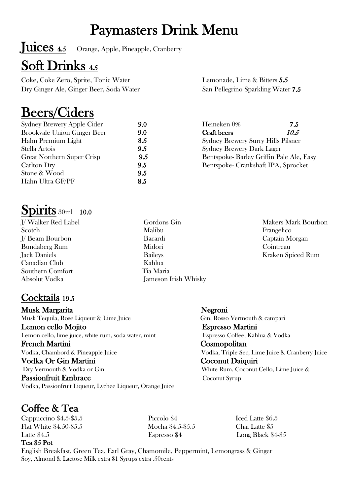# Paymasters Drink Menu

Juices 4.5 Orange, Apple, Pineapple, Cranberry

## Soft Drinks 4.5

Coke, Coke Zero, Sprite, Tonic Water Dry Ginger Ale, Ginger Beer, Soda Water

# Beers/Ciders

| <b>Sydney Brewery Apple Cider</b>  | 9.0 |
|------------------------------------|-----|
| <b>Brookvale Union Ginger Beer</b> | 9.0 |
| Hahn Premium Light                 | 8.5 |
| Stella Artois                      | 9.5 |
| <b>Great Northern Super Crisp</b>  | 9.5 |
| Carlton Dry                        | 9.5 |
| Stone & Wood                       | 9.5 |
| Hahn Ultra GF/PF                   | 8.5 |
|                                    |     |

## Spirits 30ml 10.0

J/ Walker Red Label **Scotch** J/ Beam Bourbon Bundaberg Rum Jack Daniels Canadian Club Southern Comfort Absolut Vodka

### Cocktails 19.5

Musk Margarita **Negroni**<br>Musk Tequila, Rose Liqueur & Lime Juice Gin, Rosso Vermouth & campari **Lemon cello Mojito Espresso Martini**<br>
Lemon cello, lime juice, white rum, soda water, mint Espresso Coffee, Kahlua & Vodka French Martini Cosmopolitan Vodka, Chambord & Pineapple Juice Vodka, Triple Sec, Lime Juice & Cranberry Juice Vodka Or Gin Martini Coconut Daiquiri<br>
Dry Vermouth & Vodka or Gin White Rum, Coconut Cello, Lime Juice & Coconut Syrup<br>
Passionfruit Embrace Coconut Syrup Vodka, Passionfruit Liqueur, Lychee Liqueur, Orange Juice

# $\frac{\text{Coffee & Tea}}{\text{Cappuccino \$4.5-$3.5}}$  Piccolo \$4 Piccolo \$4 Iced Latte \$6.5

Flat White \$4.50-\$5.5 Mocha \$4.5-\$5.5 Chai Latte \$5 Latte \$4.5 Espresso \$4 Long Black \$4-\$5

### Tea \$5 Pot

English Breakfast, Green Tea, Earl Gray, Chamomile, Peppermint, Lemongrass & Ginger Soy, Almond & Lactose Milk extra \$1 Syrups extra .50cents

### Lemonade, Lime & Bitters 5.5 San Pellegrino Sparkling Water 7.5

| Heineken 0%                               | 7.5  |
|-------------------------------------------|------|
| Craft beers                               | 10.5 |
| <b>Sydney Brewery Surry Hills Pilsner</b> |      |
| <b>Sydney Brewery Dark Lager</b>          |      |
| Bentspoke-Barley Griffin Pale Ale, Easy   |      |
| Bentspoke- Crankshaft IPA, Sprocket       |      |

Gordons Gin Malibu Bacardi Midori Baileys Kahlua Tia Maria Jameson Irish Whisky Makers Mark Bourbon Frangelico Captain Morgan **Cointreau** Kraken Spiced Rum